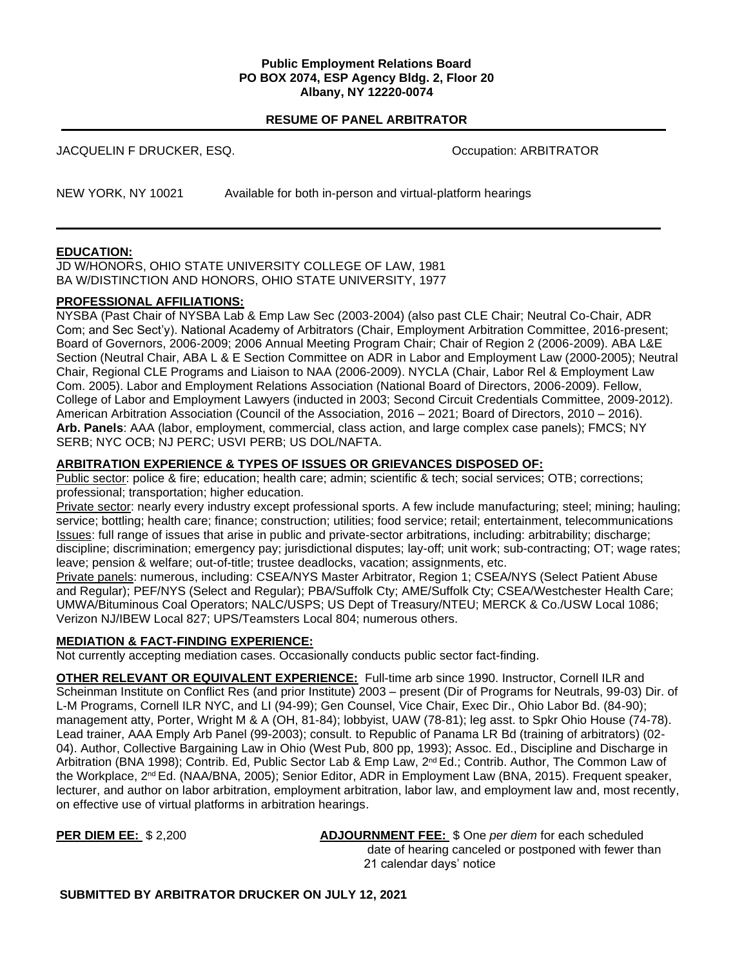#### **Public Employment Relations Board PO BOX 2074, ESP Agency Bldg. 2, Floor 20 Albany, NY 12220-0074**

# **RESUME OF PANEL ARBITRATOR**

| JACQUELIN F DRUCKER. ESQ. | Occupation: ARBITRATOR                                     |
|---------------------------|------------------------------------------------------------|
| <b>NEW YORK, NY 10021</b> | Available for both in-person and virtual-platform hearings |

### **EDUCATION:**

JD W/HONORS, OHIO STATE UNIVERSITY COLLEGE OF LAW, 1981 BA W/DISTINCTION AND HONORS, OHIO STATE UNIVERSITY, 1977

# **PROFESSIONAL AFFILIATIONS:**

NYSBA (Past Chair of NYSBA Lab & Emp Law Sec (2003-2004) (also past CLE Chair; Neutral Co-Chair, ADR Com; and Sec Sect'y). National Academy of Arbitrators (Chair, Employment Arbitration Committee, 2016-present; Board of Governors, 2006-2009; 2006 Annual Meeting Program Chair; Chair of Region 2 (2006-2009). ABA L&E Section (Neutral Chair, ABA L & E Section Committee on ADR in Labor and Employment Law (2000-2005); Neutral Chair, Regional CLE Programs and Liaison to NAA (2006-2009). NYCLA (Chair, Labor Rel & Employment Law Com. 2005). Labor and Employment Relations Association (National Board of Directors, 2006-2009). Fellow, College of Labor and Employment Lawyers (inducted in 2003; Second Circuit Credentials Committee, 2009-2012). American Arbitration Association (Council of the Association, 2016 – 2021; Board of Directors, 2010 – 2016). **Arb. Panels**: AAA (labor, employment, commercial, class action, and large complex case panels); FMCS; NY SERB; NYC OCB; NJ PERC; USVI PERB; US DOL/NAFTA.

### **ARBITRATION EXPERIENCE & TYPES OF ISSUES OR GRIEVANCES DISPOSED OF:**

Public sector: police & fire; education; health care; admin; scientific & tech; social services; OTB; corrections; professional; transportation; higher education.

Private sector: nearly every industry except professional sports. A few include manufacturing; steel; mining; hauling; service; bottling; health care; finance; construction; utilities; food service; retail; entertainment, telecommunications Issues: full range of issues that arise in public and private-sector arbitrations, including: arbitrability; discharge; discipline; discrimination; emergency pay; jurisdictional disputes; lay-off; unit work; sub-contracting; OT; wage rates; leave; pension & welfare; out-of-title; trustee deadlocks, vacation; assignments, etc.

Private panels: numerous, including: CSEA/NYS Master Arbitrator, Region 1; CSEA/NYS (Select Patient Abuse and Regular); PEF/NYS (Select and Regular); PBA/Suffolk Cty; AME/Suffolk Cty; CSEA/Westchester Health Care; UMWA/Bituminous Coal Operators; NALC/USPS; US Dept of Treasury/NTEU; MERCK & Co./USW Local 1086; Verizon NJ/IBEW Local 827; UPS/Teamsters Local 804; numerous others.

### **MEDIATION & FACT-FINDING EXPERIENCE:**

Not currently accepting mediation cases. Occasionally conducts public sector fact-finding.

**OTHER RELEVANT OR EQUIVALENT EXPERIENCE:** Full-time arb since 1990. Instructor, Cornell ILR and Scheinman Institute on Conflict Res (and prior Institute) 2003 – present (Dir of Programs for Neutrals, 99-03) Dir. of L-M Programs, Cornell ILR NYC, and LI (94-99); Gen Counsel, Vice Chair, Exec Dir., Ohio Labor Bd. (84-90); management atty, Porter, Wright M & A (OH, 81-84); lobbyist, UAW (78-81); leg asst. to Spkr Ohio House (74-78). Lead trainer, AAA Emply Arb Panel (99-2003); consult. to Republic of Panama LR Bd (training of arbitrators) (02- 04). Author, Collective Bargaining Law in Ohio (West Pub, 800 pp, 1993); Assoc. Ed., Discipline and Discharge in Arbitration (BNA 1998); Contrib. Ed, Public Sector Lab & Emp Law, 2nd Ed.; Contrib. Author, The Common Law of the Workplace, 2nd Ed. (NAA/BNA, 2005); Senior Editor, ADR in Employment Law (BNA, 2015). Frequent speaker, lecturer, and author on labor arbitration, employment arbitration, labor law, and employment law and, most recently, on effective use of virtual platforms in arbitration hearings.

**PER DIEM EE:** \$ 2,200 **ADJOURNMENT FEE:** \$ One *per diem* for each scheduled date of hearing canceled or postponed with fewer than 21 calendar days' notice

**SUBMITTED BY ARBITRATOR DRUCKER ON JULY 12, 2021**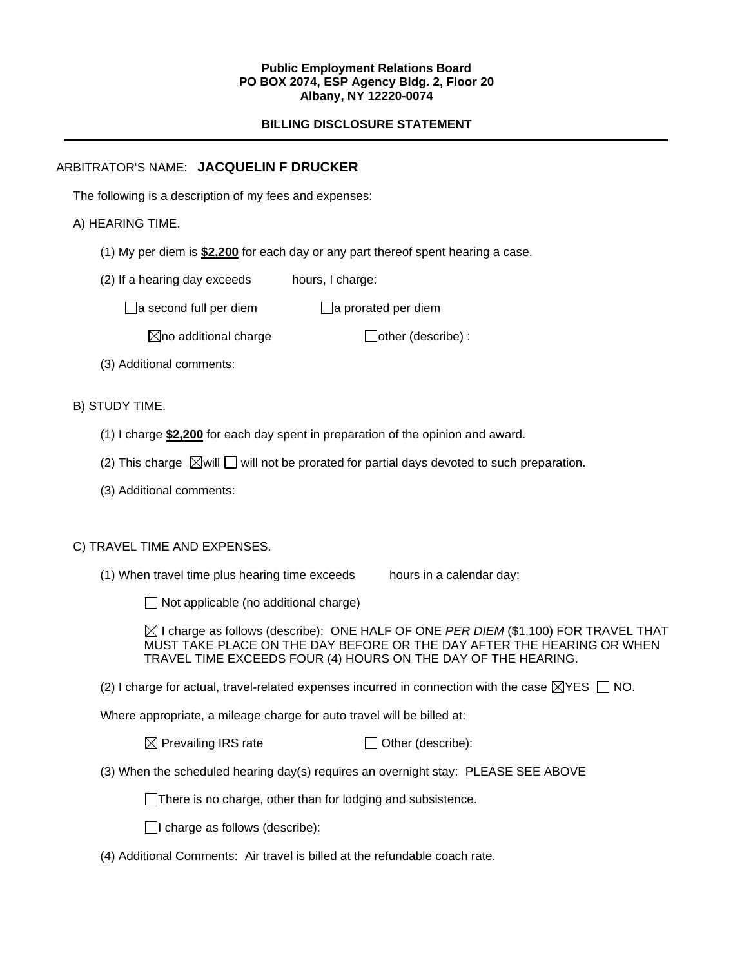#### **Public Employment Relations Board PO BOX 2074, ESP Agency Bldg. 2, Floor 20 Albany, NY 12220-0074**

# **BILLING DISCLOSURE STATEMENT**

# ARBITRATOR'S NAME: **JACQUELIN F DRUCKER**

The following is a description of my fees and expenses:

# A) HEARING TIME.

- (1) My per diem is **\$2,200** for each day or any part thereof spent hearing a case.
- (2) If a hearing day exceeds hours, I charge:

 $\Box$ a second full per diem  $\Box$ a prorated per diem

 $\boxtimes$ no additional charge  $\Box$ other (describe) :

(3) Additional comments:

# B) STUDY TIME.

- (1) I charge **\$2,200** for each day spent in preparation of the opinion and award.
- (2) This charge  $\boxtimes$  will  $\Box$  will not be prorated for partial days devoted to such preparation.
- (3) Additional comments:

### C) TRAVEL TIME AND EXPENSES.

(1) When travel time plus hearing time exceeds hours in a calendar day:

 $\Box$  Not applicable (no additional charge)

 $\boxtimes$  I charge as follows (describe): ONE HALF OF ONE *PER DIEM* (\$1,100) FOR TRAVEL THAT MUST TAKE PLACE ON THE DAY BEFORE OR THE DAY AFTER THE HEARING OR WHEN TRAVEL TIME EXCEEDS FOUR (4) HOURS ON THE DAY OF THE HEARING.

(2) I charge for actual, travel-related expenses incurred in connection with the case  $\boxtimes$ YES  $\Box$  NO.

Where appropriate, a mileage charge for auto travel will be billed at:

 $\boxtimes$  Prevailing IRS rate  $\Box$  Other (describe):

(3) When the scheduled hearing day(s) requires an overnight stay: PLEASE SEE ABOVE

There is no charge, other than for lodging and subsistence.

 $\Box$ I charge as follows (describe):

(4) Additional Comments: Air travel is billed at the refundable coach rate.